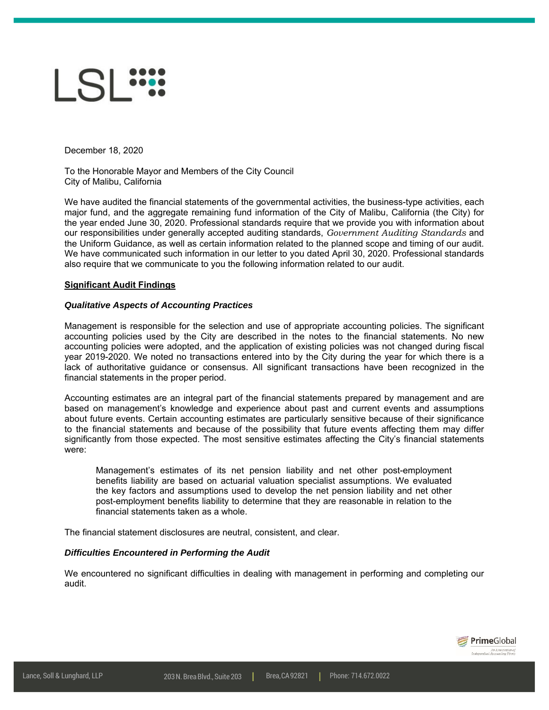# $|S|$ :

December 18, 2020

To the Honorable Mayor and Members of the City Council City of Malibu, California

We have audited the financial statements of the governmental activities, the business-type activities, each major fund, and the aggregate remaining fund information of the City of Malibu, California (the City) for the year ended June 30, 2020. Professional standards require that we provide you with information about our responsibilities under generally accepted auditing standards, *Government Auditing Standards* and the Uniform Guidance, as well as certain information related to the planned scope and timing of our audit. We have communicated such information in our letter to you dated April 30, 2020. Professional standards also require that we communicate to you the following information related to our audit.

## **Significant Audit Findings**

## *Qualitative Aspects of Accounting Practices*

Management is responsible for the selection and use of appropriate accounting policies. The significant accounting policies used by the City are described in the notes to the financial statements. No new accounting policies were adopted, and the application of existing policies was not changed during fiscal year 2019-2020. We noted no transactions entered into by the City during the year for which there is a lack of authoritative guidance or consensus. All significant transactions have been recognized in the financial statements in the proper period.

Accounting estimates are an integral part of the financial statements prepared by management and are based on management's knowledge and experience about past and current events and assumptions about future events. Certain accounting estimates are particularly sensitive because of their significance to the financial statements and because of the possibility that future events affecting them may differ significantly from those expected. The most sensitive estimates affecting the City's financial statements were:

Management's estimates of its net pension liability and net other post-employment benefits liability are based on actuarial valuation specialist assumptions. We evaluated the key factors and assumptions used to develop the net pension liability and net other post-employment benefits liability to determine that they are reasonable in relation to the financial statements taken as a whole.

The financial statement disclosures are neutral, consistent, and clear.

#### *Difficulties Encountered in Performing the Audit*

We encountered no significant difficulties in dealing with management in performing and completing our audit.

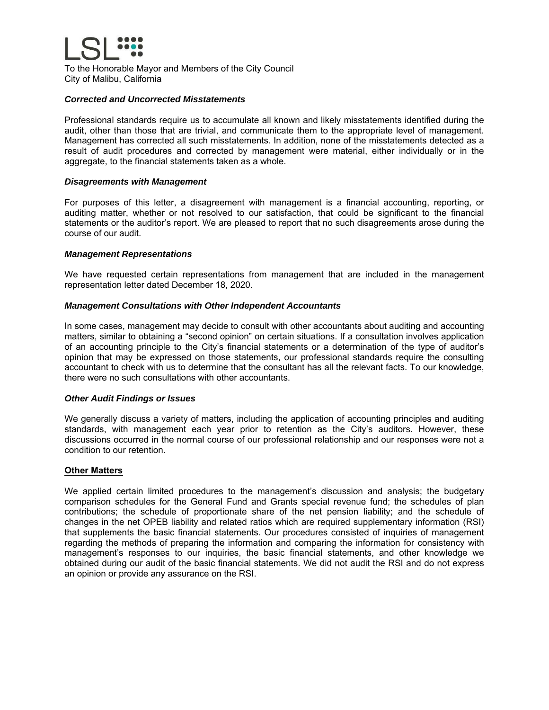

To the Honorable Mayor and Members of the City Council City of Malibu, California

## *Corrected and Uncorrected Misstatements*

Professional standards require us to accumulate all known and likely misstatements identified during the audit, other than those that are trivial, and communicate them to the appropriate level of management. Management has corrected all such misstatements. In addition, none of the misstatements detected as a result of audit procedures and corrected by management were material, either individually or in the aggregate, to the financial statements taken as a whole.

#### *Disagreements with Management*

For purposes of this letter, a disagreement with management is a financial accounting, reporting, or auditing matter, whether or not resolved to our satisfaction, that could be significant to the financial statements or the auditor's report. We are pleased to report that no such disagreements arose during the course of our audit.

## *Management Representations*

We have requested certain representations from management that are included in the management representation letter dated December 18, 2020.

## *Management Consultations with Other Independent Accountants*

In some cases, management may decide to consult with other accountants about auditing and accounting matters, similar to obtaining a "second opinion" on certain situations. If a consultation involves application of an accounting principle to the City's financial statements or a determination of the type of auditor's opinion that may be expressed on those statements, our professional standards require the consulting accountant to check with us to determine that the consultant has all the relevant facts. To our knowledge, there were no such consultations with other accountants.

## *Other Audit Findings or Issues*

We generally discuss a variety of matters, including the application of accounting principles and auditing standards, with management each year prior to retention as the City's auditors. However, these discussions occurred in the normal course of our professional relationship and our responses were not a condition to our retention.

## **Other Matters**

We applied certain limited procedures to the management's discussion and analysis; the budgetary comparison schedules for the General Fund and Grants special revenue fund; the schedules of plan contributions; the schedule of proportionate share of the net pension liability; and the schedule of changes in the net OPEB liability and related ratios which are required supplementary information (RSI) that supplements the basic financial statements. Our procedures consisted of inquiries of management regarding the methods of preparing the information and comparing the information for consistency with management's responses to our inquiries, the basic financial statements, and other knowledge we obtained during our audit of the basic financial statements. We did not audit the RSI and do not express an opinion or provide any assurance on the RSI.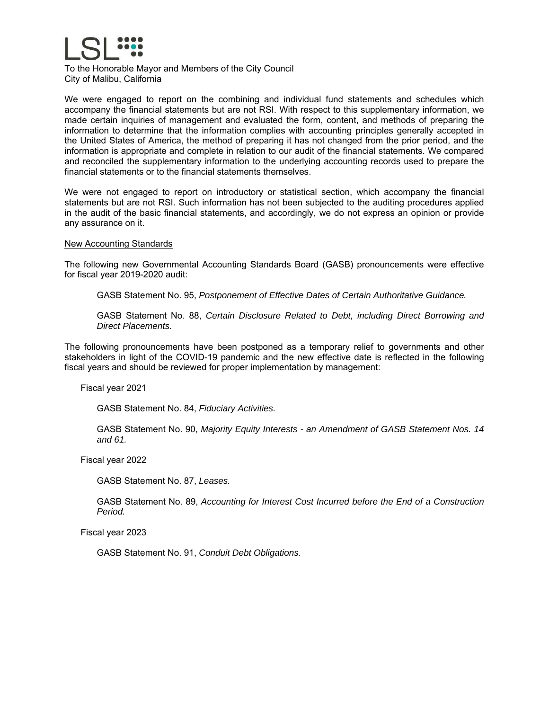

To the Honorable Mayor and Members of the City Council City of Malibu, California

We were engaged to report on the combining and individual fund statements and schedules which accompany the financial statements but are not RSI. With respect to this supplementary information, we made certain inquiries of management and evaluated the form, content, and methods of preparing the information to determine that the information complies with accounting principles generally accepted in the United States of America, the method of preparing it has not changed from the prior period, and the information is appropriate and complete in relation to our audit of the financial statements. We compared and reconciled the supplementary information to the underlying accounting records used to prepare the financial statements or to the financial statements themselves.

We were not engaged to report on introductory or statistical section, which accompany the financial statements but are not RSI. Such information has not been subjected to the auditing procedures applied in the audit of the basic financial statements, and accordingly, we do not express an opinion or provide any assurance on it.

New Accounting Standards

The following new Governmental Accounting Standards Board (GASB) pronouncements were effective for fiscal year 2019-2020 audit:

GASB Statement No. 95, *Postponement of Effective Dates of Certain Authoritative Guidance.*

GASB Statement No. 88, *Certain Disclosure Related to Debt, including Direct Borrowing and Direct Placements.* 

The following pronouncements have been postponed as a temporary relief to governments and other stakeholders in light of the COVID-19 pandemic and the new effective date is reflected in the following fiscal years and should be reviewed for proper implementation by management:

Fiscal year 2021

GASB Statement No. 84, *Fiduciary Activities.* 

GASB Statement No. 90, *Majority Equity Interests - an Amendment of GASB Statement Nos. 14 and 61.* 

Fiscal year 2022

GASB Statement No. 87, *Leases.* 

GASB Statement No. 89, *Accounting for Interest Cost Incurred before the End of a Construction Period.* 

Fiscal year 2023

GASB Statement No. 91, *Conduit Debt Obligations.*